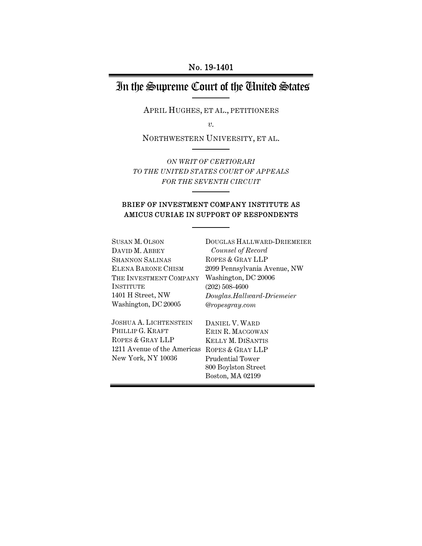# In the Supreme Court of the United States

APRIL HUGHES, ET AL., PETITIONERS

*v.* 

NORTHWESTERN UNIVERSITY, ET AL.

*ON WRIT OF CERTIORARI TO THE UNITED STATES COURT OF APPEALS FOR THE SEVENTH CIRCUIT*

### BRIEF OF INVESTMENT COMPANY INSTITUTE AS AMICUS CURIAE IN SUPPORT OF RESPONDENTS

| <b>SUSAN M. OLSON</b>       | DOUGLAS HALLWARD-DRIEMEIER   |
|-----------------------------|------------------------------|
| DAVID M. ABBEY              | Counsel of Record            |
| <b>SHANNON SALINAS</b>      | ROPES & GRAY LLP             |
| ELENA BARONE CHISM          | 2099 Pennsylvania Avenue, NW |
| THE INVESTMENT COMPANY      | Washington, DC 20006         |
| <b>INSTITUTE</b>            | $(202)$ 508-4600             |
| 1401 H Street, NW           | Douglas.Hallward-Driemeier   |
| Washington, DC 20005        | @ropesgray.com               |
| JOSHUA A. LICHTENSTEIN      | DANIEL V. WARD               |
| PHILLIP G. KRAFT            | ERIN R. MACGOWAN             |
| ROPES & GRAY LLP            | <b>KELLY M. DISANTIS</b>     |
| 1211 Avenue of the Americas | ROPES & GRAY LLP             |
| New York, NY 10036          | Prudential Tower             |
|                             | 800 Boylston Street          |

Boston, MA 02199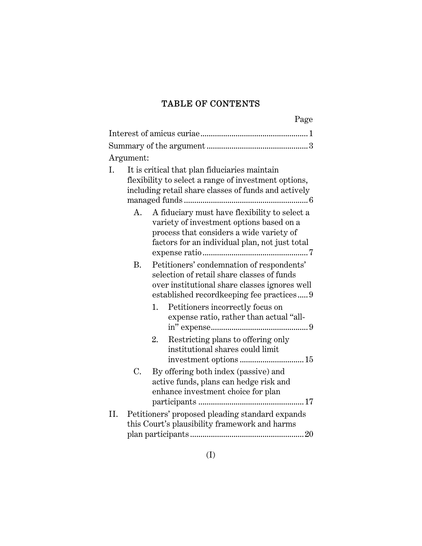# TABLE OF CONTENTS

|     |           | Page                                                                                                                                                                                                                                                                               |
|-----|-----------|------------------------------------------------------------------------------------------------------------------------------------------------------------------------------------------------------------------------------------------------------------------------------------|
|     |           |                                                                                                                                                                                                                                                                                    |
|     |           |                                                                                                                                                                                                                                                                                    |
|     | Argument: |                                                                                                                                                                                                                                                                                    |
| I.  |           | It is critical that plan fiduciaries maintain<br>flexibility to select a range of investment options,<br>including retail share classes of funds and actively                                                                                                                      |
|     | А.<br>Β.  | A fiduciary must have flexibility to select a<br>variety of investment options based on a<br>process that considers a wide variety of<br>factors for an individual plan, not just total<br>Petitioners' condemnation of respondents'<br>selection of retail share classes of funds |
|     |           | over institutional share classes ignores well<br>established record keeping fee practices<br>1.<br>Petitioners incorrectly focus on<br>expense ratio, rather than actual "all-                                                                                                     |
|     |           | Restricting plans to offering only<br>2.<br>institutional shares could limit<br>investment options  15                                                                                                                                                                             |
|     | C.        | By offering both index (passive) and<br>active funds, plans can hedge risk and<br>enhance investment choice for plan                                                                                                                                                               |
| II. |           | Petitioners' proposed pleading standard expands                                                                                                                                                                                                                                    |
|     |           | this Court's plausibility framework and harms                                                                                                                                                                                                                                      |
|     |           |                                                                                                                                                                                                                                                                                    |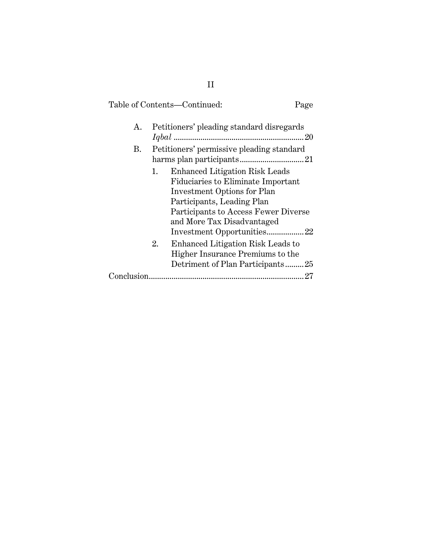# Table of Contents—Continued: Page A. Petitioners' pleading standard disregards *Iqbal* ............................................................... 20 B. Petitioners' permissive pleading standard harms plan participants ............................... 21 1. Enhanced Litigation Risk Leads Fiduciaries to Eliminate Important Investment Options for Plan Participants, Leading Plan Participants to Access Fewer Diverse and More Tax Disadvantaged Investment Opportunities .................. 22 2. Enhanced Litigation Risk Leads to Higher Insurance Premiums to the Detriment of Plan Participants ......... 25 Conclusion ........................................................................... 27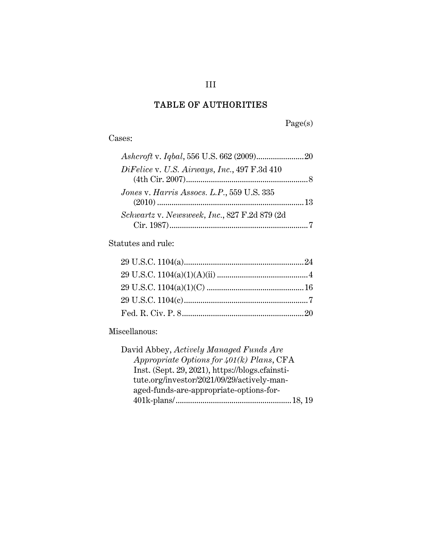# TABLE OF AUTHORITIES

Page(s)

Cases:

| DiFelice v. U.S. Airways, Inc., 497 F.3d 410 |  |
|----------------------------------------------|--|
|                                              |  |
| Jones v. Harris Assocs. L.P., 559 U.S. 335   |  |
|                                              |  |
| Schwartz v. Newsweek, Inc., 827 F.2d 879 (2d |  |
|                                              |  |

Statutes and rule:

# Miscellanous:

| David Abbey, Actively Managed Funds Are         |  |
|-------------------------------------------------|--|
| Appropriate Options for $401(k)$ Plans, CFA     |  |
| Inst. (Sept. 29, 2021), https://blogs.cfainsti- |  |
| tute.org/investor/2021/09/29/actively-man-      |  |
| aged-funds-are-appropriate-options-for-         |  |
|                                                 |  |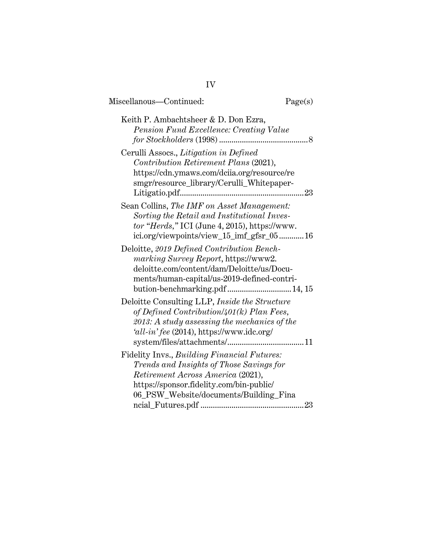| Miscellanous-Continued:                                                                                                                                                                                            | Page(s) |
|--------------------------------------------------------------------------------------------------------------------------------------------------------------------------------------------------------------------|---------|
| Keith P. Ambachtsheer & D. Don Ezra,<br>Pension Fund Excellence: Creating Value                                                                                                                                    |         |
| Cerulli Assocs., Litigation in Defined<br>Contribution Retirement Plans (2021),<br>https://cdn.ymaws.com/dciia.org/resource/re<br>smgr/resource_library/Cerulli_Whitepaper-                                        |         |
| Sean Collins, The IMF on Asset Management:<br>Sorting the Retail and Institutional Inves-<br>$tor$ "Herds," ICI (June 4, 2015), https://www.<br>ici.org/viewpoints/view_15_imf_gfsr_05 16                          |         |
| Deloitte, 2019 Defined Contribution Bench-<br>marking Survey Report, https://www2.<br>deloitte.com/content/dam/Deloitte/us/Docu-<br>ments/human-capital/us-2019-defined-contri-                                    |         |
| Deloitte Consulting LLP, Inside the Structure<br>of Defined Contribution/401(k) Plan Fees,<br>2013: A study assessing the mechanics of the<br>$'all\text{-}in'\text{fee}\ (2014)$ , https://www.idc.org/           |         |
| Fidelity Invs., Building Financial Futures:<br>Trends and Insights of Those Savings for<br>Retirement Across America (2021),<br>https://sponsor.fidelity.com/bin-public/<br>06_PSW_Website/documents/Building_Fina | 23      |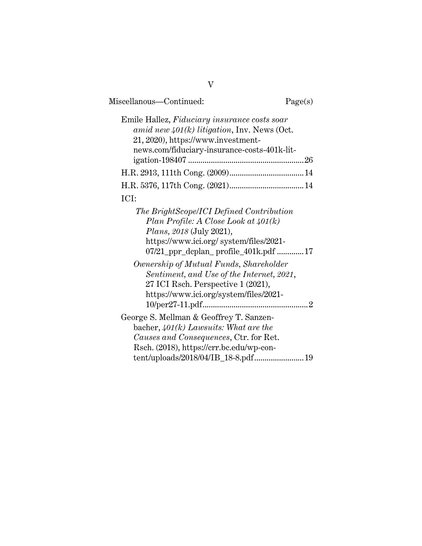| Miscellanous-Continued:                                                                                                                                                                                 | Page(s) |
|---------------------------------------------------------------------------------------------------------------------------------------------------------------------------------------------------------|---------|
| Emile Hallez, Fiduciary insurance costs soar<br>amid new $401(k)$ litigation, Inv. News (Oct.<br>21, 2020), https://www.investment-<br>news.com/fiduciary-insurance-costs-401k-lit-                     |         |
|                                                                                                                                                                                                         |         |
|                                                                                                                                                                                                         |         |
| ICI:                                                                                                                                                                                                    |         |
| The BrightScope/ICI Defined Contribution<br>Plan Profile: A Close Look at $401(k)$<br><i>Plans, 2018</i> (July 2021),<br>https://www.ici.org/system/files/2021-<br>07/21_ppr_dcplan_profile_401k.pdf 17 |         |
| Ownership of Mutual Funds, Shareholder<br>Sentiment, and Use of the Internet, 2021,<br>27 ICI Rsch. Perspective 1 (2021),<br>https://www.ici.org/system/files/2021-                                     |         |
| George S. Mellman & Geoffrey T. Sanzen-<br>bacher, $401(k)$ Lawsuits: What are the<br>Causes and Consequences, Ctr. for Ret.<br>Rsch. (2018), https://crr.bc.edu/wp-con-                                |         |
| tent/uploads/2018/04/IB_18-8.pdf 19                                                                                                                                                                     |         |

V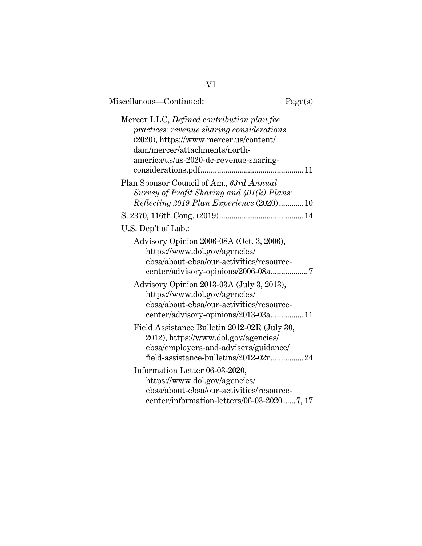| Miscellanous-Continued:                                                                                                                                                                                     | Page(s) |
|-------------------------------------------------------------------------------------------------------------------------------------------------------------------------------------------------------------|---------|
| Mercer LLC, Defined contribution plan fee<br>practices: revenue sharing considerations<br>(2020), https://www.mercer.us/content/<br>dam/mercer/attachments/north-<br>america/us/us-2020-dc-revenue-sharing- |         |
| Plan Sponsor Council of Am., 63rd Annual<br>Survey of Profit Sharing and 401(k) Plans:<br>Reflecting 2019 Plan Experience (2020)10                                                                          |         |
|                                                                                                                                                                                                             |         |
| U.S. Dep't of Lab.:                                                                                                                                                                                         |         |
| Advisory Opinion 2006-08A (Oct. 3, 2006),<br>https://www.dol.gov/agencies/<br>ebsa/about-ebsa/our-activities/resource-<br>center/advisory-opinions/2006-08a7                                                |         |
| Advisory Opinion 2013-03A (July 3, 2013),<br>https://www.dol.gov/agencies/<br>ebsa/about-ebsa/our-activities/resource-<br>center/advisory-opinions/2013-03a11                                               |         |
| Field Assistance Bulletin 2012-02R (July 30,<br>2012), https://www.dol.gov/agencies/<br>ebsa/employers-and-advisers/guidance/<br>field-assistance-bulletins/2012-02r 24                                     |         |
| Information Letter 06-03-2020,<br>https://www.dol.gov/agencies/<br>ebsa/about-ebsa/our-activities/resource-<br>center/information-letters/06-03-20207, 17                                                   |         |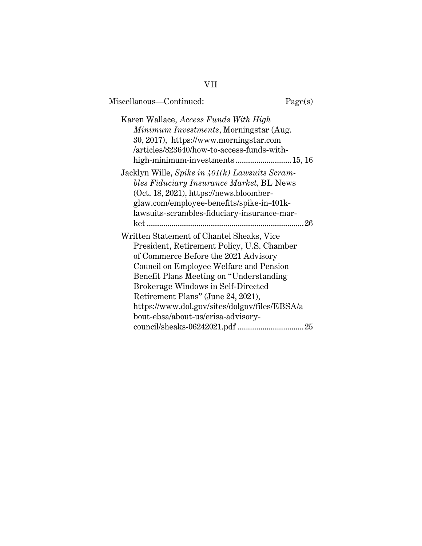# Miscellanous—Continued: Page(s) Karen Wallace, *Access Funds With High Minimum Investments*, Morningstar (Aug. 30, 2017), https://www.morningstar.com /articles/823640/how-to-access-funds-withhigh-minimum-investments ................................15, 16 Jacklyn Wille, *Spike in 401(k) Lawsuits Scrambles Fiduciary Insurance Market*, BL News (Oct. 18, 2021), https://news.bloomberglaw.com/employee-benefits/spike-in-401klawsuits-scrambles-fiduciary-insurance-market ............................................................................ 26 Written Statement of Chantel Sheaks, Vice President, Retirement Policy, U.S. Chamber of Commerce Before the 2021 Advisory Council on Employee Welfare and Pension Benefit Plans Meeting on "Understanding Brokerage Windows in Self-Directed Retirement Plans" (June 24, 2021), https://www.dol.gov/sites/dolgov/files/EBSA/a bout-ebsa/about-us/erisa-advisorycouncil/sheaks-06242021.pdf ................................ 25

# VII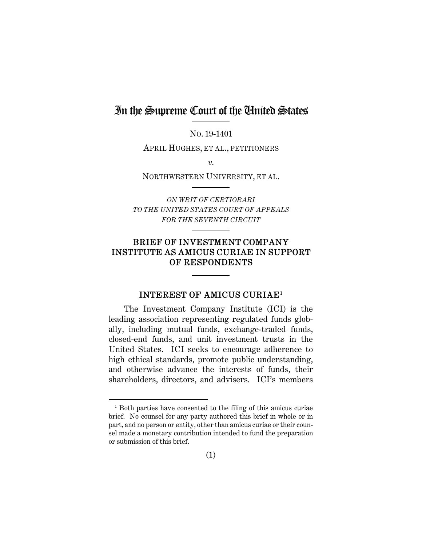# In the Supreme Court of the United States

NO. 19-1401

APRIL HUGHES, ET AL., PETITIONERS

*v.* 

NORTHWESTERN UNIVERSITY, ET AL.

*ON WRIT OF CERTIORARI TO THE UNITED STATES COURT OF APPEALS FOR THE SEVENTH CIRCUIT*

# BRIEF OF INVESTMENT COMPANY INSTITUTE AS AMICUS CURIAE IN SUPPORT OF RESPONDENTS

#### INTEREST OF AMICUS CURIAE1

The Investment Company Institute (ICI) is the leading association representing regulated funds globally, including mutual funds, exchange-traded funds, closed-end funds, and unit investment trusts in the United States. ICI seeks to encourage adherence to high ethical standards, promote public understanding, and otherwise advance the interests of funds, their shareholders, directors, and advisers. ICI's members

Ĩ. 1 Both parties have consented to the filing of this amicus curiae brief. No counsel for any party authored this brief in whole or in part, and no person or entity, other than amicus curiae or their counsel made a monetary contribution intended to fund the preparation or submission of this brief.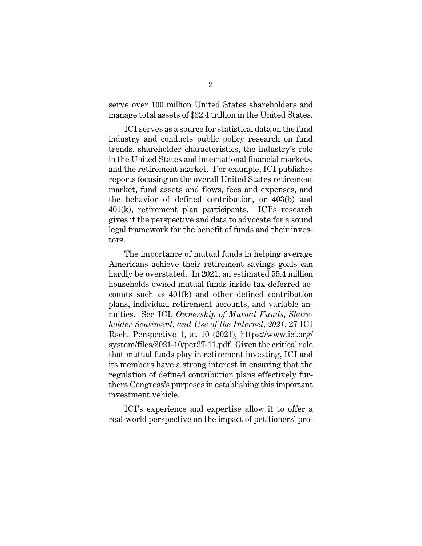serve over 100 million United States shareholders and manage total assets of \$32.4 trillion in the United States.

ICI serves as a source for statistical data on the fund industry and conducts public policy research on fund trends, shareholder characteristics, the industry's role in the United States and international financial markets, and the retirement market. For example, ICI publishes reports focusing on the overall United States retirement market, fund assets and flows, fees and expenses, and the behavior of defined contribution, or 403(b) and 401(k), retirement plan participants. ICI's research gives it the perspective and data to advocate for a sound legal framework for the benefit of funds and their investors.

The importance of mutual funds in helping average Americans achieve their retirement savings goals can hardly be overstated. In 2021, an estimated 55.4 million households owned mutual funds inside tax-deferred accounts such as 401(k) and other defined contribution plans, individual retirement accounts, and variable annuities. See ICI, *Ownership of Mutual Funds, Shareholder Sentiment, and Use of the Internet, 2021*, 27 ICI Rsch. Perspective 1, at 10 (2021), https://www.ici.org/ system/files/2021-10/per27-11.pdf. Given the critical role that mutual funds play in retirement investing, ICI and its members have a strong interest in ensuring that the regulation of defined contribution plans effectively furthers Congress's purposes in establishing this important investment vehicle.

ICI's experience and expertise allow it to offer a real-world perspective on the impact of petitioners' pro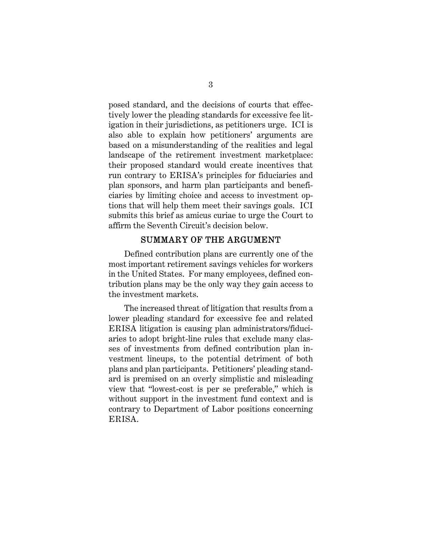posed standard, and the decisions of courts that effectively lower the pleading standards for excessive fee litigation in their jurisdictions, as petitioners urge. ICI is also able to explain how petitioners' arguments are based on a misunderstanding of the realities and legal landscape of the retirement investment marketplace: their proposed standard would create incentives that run contrary to ERISA's principles for fiduciaries and plan sponsors, and harm plan participants and beneficiaries by limiting choice and access to investment options that will help them meet their savings goals. ICI submits this brief as amicus curiae to urge the Court to affirm the Seventh Circuit's decision below.

### SUMMARY OF THE ARGUMENT

Defined contribution plans are currently one of the most important retirement savings vehicles for workers in the United States. For many employees, defined contribution plans may be the only way they gain access to the investment markets.

The increased threat of litigation that results from a lower pleading standard for excessive fee and related ERISA litigation is causing plan administrators/fiduciaries to adopt bright-line rules that exclude many classes of investments from defined contribution plan investment lineups, to the potential detriment of both plans and plan participants. Petitioners' pleading standard is premised on an overly simplistic and misleading view that "lowest-cost is per se preferable," which is without support in the investment fund context and is contrary to Department of Labor positions concerning ERISA.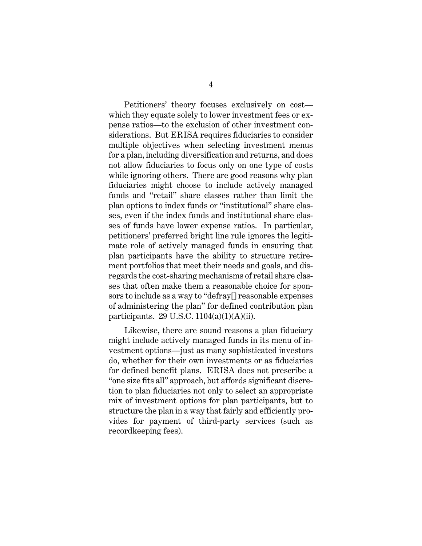Petitioners' theory focuses exclusively on cost which they equate solely to lower investment fees or expense ratios—to the exclusion of other investment considerations. But ERISA requires fiduciaries to consider multiple objectives when selecting investment menus for a plan, including diversification and returns, and does not allow fiduciaries to focus only on one type of costs while ignoring others. There are good reasons why plan fiduciaries might choose to include actively managed funds and "retail" share classes rather than limit the plan options to index funds or "institutional" share classes, even if the index funds and institutional share classes of funds have lower expense ratios. In particular, petitioners' preferred bright line rule ignores the legitimate role of actively managed funds in ensuring that plan participants have the ability to structure retirement portfolios that meet their needs and goals, and disregards the cost-sharing mechanisms of retail share classes that often make them a reasonable choice for sponsors to include as a way to "defray[] reasonable expenses of administering the plan" for defined contribution plan participants.  $29 \text{ U.S.C. } 1104(a)(1)(\text{A})(ii)$ .

Likewise, there are sound reasons a plan fiduciary might include actively managed funds in its menu of investment options—just as many sophisticated investors do, whether for their own investments or as fiduciaries for defined benefit plans. ERISA does not prescribe a "one size fits all" approach, but affords significant discretion to plan fiduciaries not only to select an appropriate mix of investment options for plan participants, but to structure the plan in a way that fairly and efficiently provides for payment of third-party services (such as recordkeeping fees).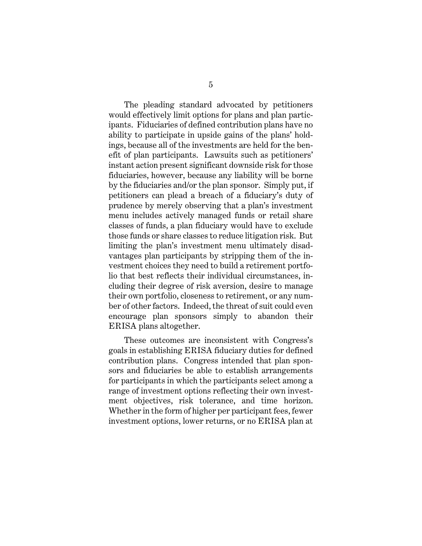The pleading standard advocated by petitioners would effectively limit options for plans and plan participants. Fiduciaries of defined contribution plans have no ability to participate in upside gains of the plans' holdings, because all of the investments are held for the benefit of plan participants. Lawsuits such as petitioners' instant action present significant downside risk for those fiduciaries, however, because any liability will be borne by the fiduciaries and/or the plan sponsor. Simply put, if petitioners can plead a breach of a fiduciary's duty of prudence by merely observing that a plan's investment menu includes actively managed funds or retail share classes of funds, a plan fiduciary would have to exclude those funds or share classes to reduce litigation risk. But limiting the plan's investment menu ultimately disadvantages plan participants by stripping them of the investment choices they need to build a retirement portfolio that best reflects their individual circumstances, including their degree of risk aversion, desire to manage their own portfolio, closeness to retirement, or any number of other factors. Indeed, the threat of suit could even encourage plan sponsors simply to abandon their ERISA plans altogether.

These outcomes are inconsistent with Congress's goals in establishing ERISA fiduciary duties for defined contribution plans. Congress intended that plan sponsors and fiduciaries be able to establish arrangements for participants in which the participants select among a range of investment options reflecting their own investment objectives, risk tolerance, and time horizon. Whether in the form of higher per participant fees, fewer investment options, lower returns, or no ERISA plan at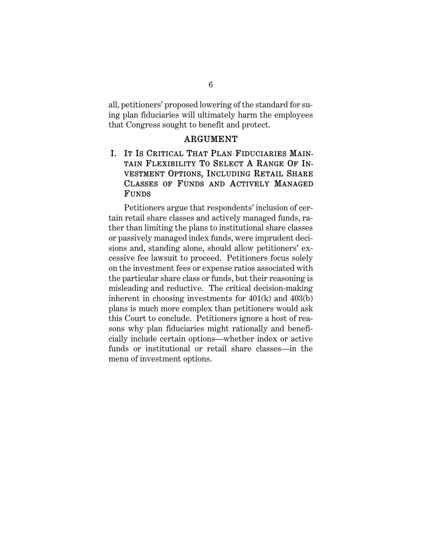all, petitioners' proposed lowering of the standard for suing plan fiduciaries will ultimately harm the employees that Congress sought to benefit and protect.

#### ARGUMENT

# I. IT IS CRITICAL THAT PLAN FIDUCIARIES MAIN-TAIN FLEXIBILITY TO SELECT A RANGE OF IN-VESTMENT OPTIONS, INCLUDING RETAIL SHARE CLASSES OF FUNDS AND ACTIVELY MANAGED FUNDS

Petitioners argue that respondents' inclusion of certain retail share classes and actively managed funds, rather than limiting the plans to institutional share classes or passively managed index funds, were imprudent decisions and, standing alone, should allow petitioners' excessive fee lawsuit to proceed. Petitioners focus solely on the investment fees or expense ratios associated with the particular share class or funds, but their reasoning is misleading and reductive. The critical decision-making inherent in choosing investments for 401(k) and 403(b) plans is much more complex than petitioners would ask this Court to conclude. Petitioners ignore a host of reasons why plan fiduciaries might rationally and beneficially include certain options—whether index or active funds or institutional or retail share classes—in the menu of investment options.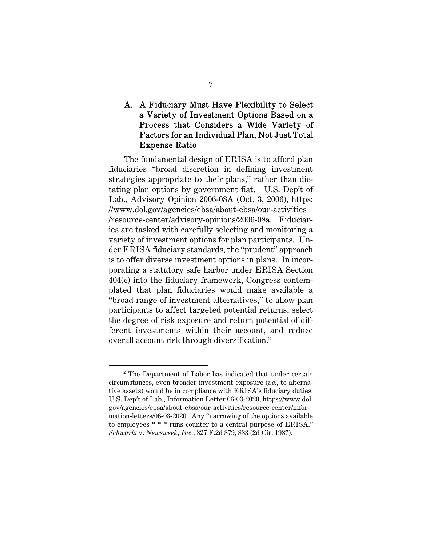# A. A Fiduciary Must Have Flexibility to Select a Variety of Investment Options Based on a Process that Considers a Wide Variety of Factors for an Individual Plan, Not Just Total Expense Ratio

The fundamental design of ERISA is to afford plan fiduciaries "broad discretion in defining investment strategies appropriate to their plans," rather than dictating plan options by government fiat. U.S. Dep't of Lab., Advisory Opinion 2006-08A (Oct. 3, 2006), https: //www.dol.gov/agencies/ebsa/about-ebsa/our-activities /resource-center/advisory-opinions/2006-08a. Fiduciaries are tasked with carefully selecting and monitoring a variety of investment options for plan participants. Under ERISA fiduciary standards, the "prudent" approach is to offer diverse investment options in plans. In incorporating a statutory safe harbor under ERISA Section 404(c) into the fiduciary framework, Congress contemplated that plan fiduciaries would make available a "broad range of investment alternatives," to allow plan participants to affect targeted potential returns, select the degree of risk exposure and return potential of different investments within their account, and reduce overall account risk through diversification.2

ī <sup>2</sup> The Department of Labor has indicated that under certain circumstances, even broader investment exposure (*i.e.*, to alternative assets) would be in compliance with ERISA's fiduciary duties. U.S. Dep't of Lab., Information Letter 06-03-2020, https://www.dol. gov/agencies/ebsa/about-ebsa/our-activities/resource-center/information-letters/06-03-2020. Any "narrowing of the options available to employees \* \* \* runs counter to a central purpose of ERISA." *Schwartz* v. *Newsweek, Inc.*, 827 F.2d 879, 883 (2d Cir. 1987).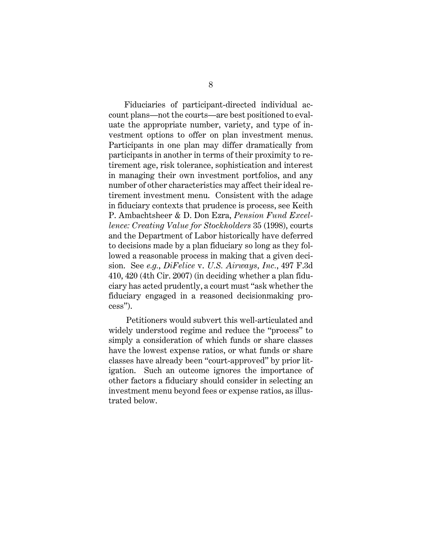Fiduciaries of participant-directed individual account plans—not the courts—are best positioned to evaluate the appropriate number, variety, and type of investment options to offer on plan investment menus. Participants in one plan may differ dramatically from participants in another in terms of their proximity to retirement age, risk tolerance, sophistication and interest in managing their own investment portfolios, and any number of other characteristics may affect their ideal retirement investment menu. Consistent with the adage in fiduciary contexts that prudence is process, see Keith P. Ambachtsheer & D. Don Ezra, *Pension Fund Excellence: Creating Value for Stockholders* 35 (1998), courts and the Department of Labor historically have deferred to decisions made by a plan fiduciary so long as they followed a reasonable process in making that a given decision. See *e.g.*, *DiFelice* v. *U.S. Airways, Inc.*, 497 F.3d 410, 420 (4th Cir. 2007) (in deciding whether a plan fiduciary has acted prudently, a court must "ask whether the fiduciary engaged in a reasoned decisionmaking process").

 Petitioners would subvert this well-articulated and widely understood regime and reduce the "process" to simply a consideration of which funds or share classes have the lowest expense ratios, or what funds or share classes have already been "court-approved" by prior litigation. Such an outcome ignores the importance of other factors a fiduciary should consider in selecting an investment menu beyond fees or expense ratios, as illustrated below.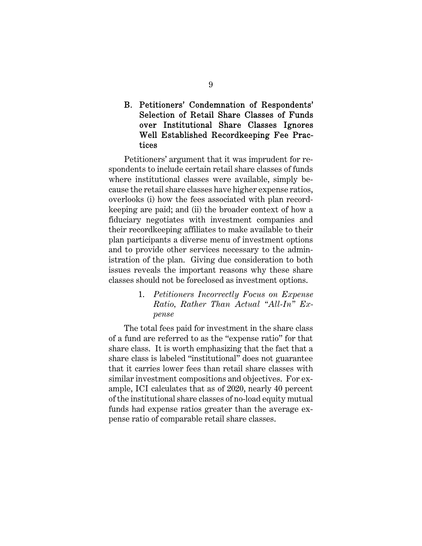## B. Petitioners' Condemnation of Respondents' Selection of Retail Share Classes of Funds over Institutional Share Classes Ignores Well Established Recordkeeping Fee Practices

Petitioners' argument that it was imprudent for respondents to include certain retail share classes of funds where institutional classes were available, simply because the retail share classes have higher expense ratios, overlooks (i) how the fees associated with plan recordkeeping are paid; and (ii) the broader context of how a fiduciary negotiates with investment companies and their recordkeeping affiliates to make available to their plan participants a diverse menu of investment options and to provide other services necessary to the administration of the plan. Giving due consideration to both issues reveals the important reasons why these share classes should not be foreclosed as investment options.

> 1. *Petitioners Incorrectly Focus on Expense Ratio, Rather Than Actual "All-In" Expense*

The total fees paid for investment in the share class of a fund are referred to as the "expense ratio" for that share class. It is worth emphasizing that the fact that a share class is labeled "institutional" does not guarantee that it carries lower fees than retail share classes with similar investment compositions and objectives. For example, ICI calculates that as of 2020, nearly 40 percent of the institutional share classes of no-load equity mutual funds had expense ratios greater than the average expense ratio of comparable retail share classes.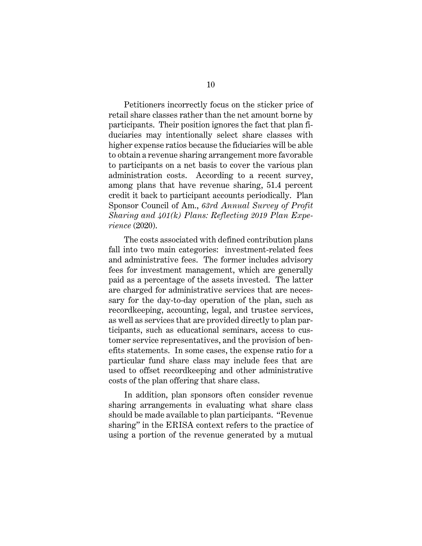Petitioners incorrectly focus on the sticker price of retail share classes rather than the net amount borne by participants. Their position ignores the fact that plan fiduciaries may intentionally select share classes with higher expense ratios because the fiduciaries will be able to obtain a revenue sharing arrangement more favorable to participants on a net basis to cover the various plan administration costs. According to a recent survey, among plans that have revenue sharing, 51.4 percent credit it back to participant accounts periodically. Plan Sponsor Council of Am., *63rd Annual Survey of Profit Sharing and 401(k) Plans: Reflecting 2019 Plan Experience* (2020).

The costs associated with defined contribution plans fall into two main categories: investment-related fees and administrative fees. The former includes advisory fees for investment management, which are generally paid as a percentage of the assets invested. The latter are charged for administrative services that are necessary for the day-to-day operation of the plan, such as recordkeeping, accounting, legal, and trustee services, as well as services that are provided directly to plan participants, such as educational seminars, access to customer service representatives, and the provision of benefits statements. In some cases, the expense ratio for a particular fund share class may include fees that are used to offset recordkeeping and other administrative costs of the plan offering that share class.

In addition, plan sponsors often consider revenue sharing arrangements in evaluating what share class should be made available to plan participants. "Revenue sharing" in the ERISA context refers to the practice of using a portion of the revenue generated by a mutual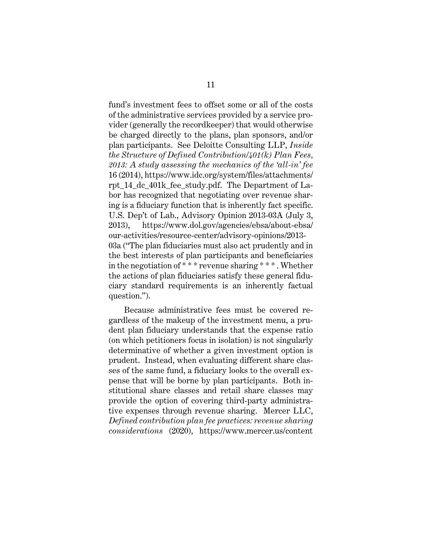fund's investment fees to offset some or all of the costs of the administrative services provided by a service provider (generally the recordkeeper) that would otherwise be charged directly to the plans, plan sponsors, and/or plan participants. See Deloitte Consulting LLP, *Inside the Structure of Defined Contribution/401(k) Plan Fees, 2013: A study assessing the mechanics of the 'all-in' fee* 16 (2014), https://www.idc.org/system/files/attachments/ rpt\_14\_dc\_401k\_fee\_study.pdf. The Department of Labor has recognized that negotiating over revenue sharing is a fiduciary function that is inherently fact specific. U.S. Dep't of Lab., Advisory Opinion 2013-03A (July 3, 2013), https://www.dol.gov/agencies/ebsa/about-ebsa/ our-activities/resource-center/advisory-opinions/2013- 03a ("The plan fiduciaries must also act prudently and in the best interests of plan participants and beneficiaries in the negotiation of \* \* \* revenue sharing \* \* \* . Whether the actions of plan fiduciaries satisfy these general fiduciary standard requirements is an inherently factual question.").

Because administrative fees must be covered regardless of the makeup of the investment menu, a prudent plan fiduciary understands that the expense ratio (on which petitioners focus in isolation) is not singularly determinative of whether a given investment option is prudent. Instead, when evaluating different share classes of the same fund, a fiduciary looks to the overall expense that will be borne by plan participants. Both institutional share classes and retail share classes may provide the option of covering third-party administrative expenses through revenue sharing. Mercer LLC, *Defined contribution plan fee practices: revenue sharing considerations* (2020), https://www.mercer.us/content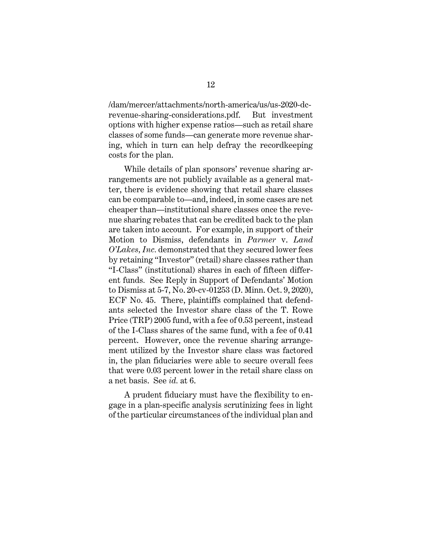/dam/mercer/attachments/north-america/us/us-2020-dcrevenue-sharing-considerations.pdf. But investment options with higher expense ratios—such as retail share classes of some funds—can generate more revenue sharing, which in turn can help defray the recordkeeping costs for the plan.

While details of plan sponsors' revenue sharing arrangements are not publicly available as a general matter, there is evidence showing that retail share classes can be comparable to—and, indeed, in some cases are net cheaper than—institutional share classes once the revenue sharing rebates that can be credited back to the plan are taken into account. For example, in support of their Motion to Dismiss, defendants in *Parmer* v. *Land O'Lakes, Inc.* demonstrated that they secured lower fees by retaining "Investor" (retail) share classes rather than "I-Class" (institutional) shares in each of fifteen different funds*.* See Reply in Support of Defendants' Motion to Dismiss at 5-7, No. 20-cv-01253 (D. Minn. Oct. 9, 2020), ECF No. 45. There, plaintiffs complained that defendants selected the Investor share class of the T. Rowe Price (TRP) 2005 fund, with a fee of 0.53 percent, instead of the I-Class shares of the same fund, with a fee of 0.41 percent. However, once the revenue sharing arrangement utilized by the Investor share class was factored in, the plan fiduciaries were able to secure overall fees that were 0.03 percent lower in the retail share class on a net basis. See *id.* at 6.

A prudent fiduciary must have the flexibility to engage in a plan-specific analysis scrutinizing fees in light of the particular circumstances of the individual plan and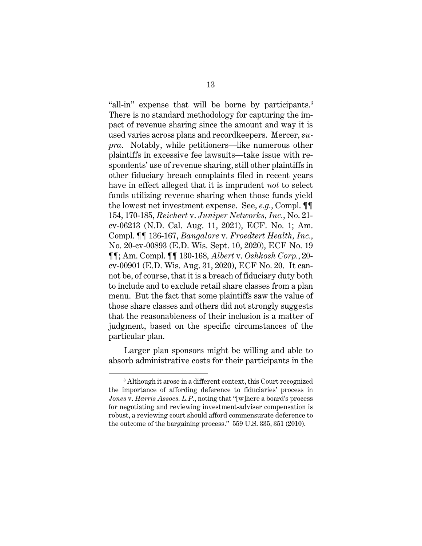"all-in" expense that will be borne by participants.3 There is no standard methodology for capturing the impact of revenue sharing since the amount and way it is used varies across plans and recordkeepers. Mercer, *supra*. Notably, while petitioners—like numerous other plaintiffs in excessive fee lawsuits—take issue with respondents' use of revenue sharing, still other plaintiffs in other fiduciary breach complaints filed in recent years have in effect alleged that it is imprudent *not* to select funds utilizing revenue sharing when those funds yield the lowest net investment expense. See, *e.g.*, Compl. ¶¶ 154, 170-185, *Reichert* v. *Juniper Networks, Inc.*, No. 21 cv-06213 (N.D. Cal. Aug. 11, 2021), ECF. No. 1; Am. Compl. ¶¶ 136-167, *Bangalore* v. *Froedtert Health, Inc.*, No. 20-cv-00893 (E.D. Wis. Sept. 10, 2020), ECF No. 19 ¶¶; Am. Compl. ¶¶ 130-168, *Albert* v. *Oshkosh Corp.*, 20 cv-00901 (E.D. Wis. Aug. 31, 2020), ECF No. 20. It cannot be, of course, that it is a breach of fiduciary duty both to include and to exclude retail share classes from a plan menu. But the fact that some plaintiffs saw the value of those share classes and others did not strongly suggests that the reasonableness of their inclusion is a matter of judgment, based on the specific circumstances of the particular plan.

Larger plan sponsors might be willing and able to absorb administrative costs for their participants in the

Ĩ. 3 Although it arose in a different context, this Court recognized the importance of affording deference to fiduciaries' process in *Jones* v. *Harris Assocs. L.P.*, noting that "[w]here a board's process for negotiating and reviewing investment-adviser compensation is robust, a reviewing court should afford commensurate deference to the outcome of the bargaining process." 559 U.S. 335, 351 (2010).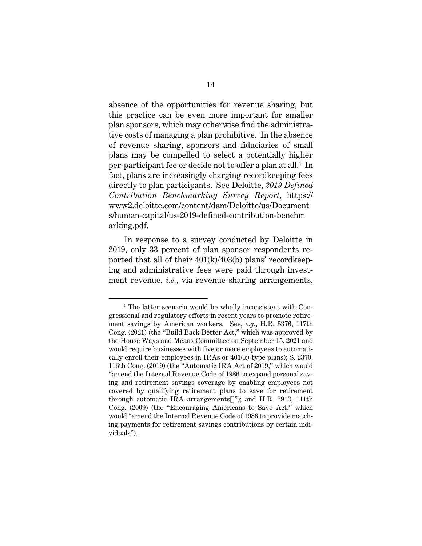absence of the opportunities for revenue sharing, but this practice can be even more important for smaller plan sponsors, which may otherwise find the administrative costs of managing a plan prohibitive. In the absence of revenue sharing, sponsors and fiduciaries of small plans may be compelled to select a potentially higher per-participant fee or decide not to offer a plan at all.4 In fact, plans are increasingly charging recordkeeping fees directly to plan participants. See Deloitte, *2019 Defined Contribution Benchmarking Survey Report*, https:// www2.deloitte.com/content/dam/Deloitte/us/Document s/human-capital/us-2019-defined-contribution-benchm arking.pdf.

In response to a survey conducted by Deloitte in 2019, only 33 percent of plan sponsor respondents reported that all of their 401(k)/403(b) plans' recordkeeping and administrative fees were paid through investment revenue, *i.e.*, via revenue sharing arrangements,

Ĩ. 4 The latter scenario would be wholly inconsistent with Congressional and regulatory efforts in recent years to promote retirement savings by American workers. See, *e.g.*, H.R. 5376, 117th Cong. (2021) (the "Build Back Better Act," which was approved by the House Ways and Means Committee on September 15, 2021 and would require businesses with five or more employees to automatically enroll their employees in IRAs or 401(k)-type plans); S. 2370, 116th Cong. (2019) (the "Automatic IRA Act of 2019," which would "amend the Internal Revenue Code of 1986 to expand personal saving and retirement savings coverage by enabling employees not covered by qualifying retirement plans to save for retirement through automatic IRA arrangements[]"); and H.R. 2913, 111th Cong. (2009) (the "Encouraging Americans to Save Act," which would "amend the Internal Revenue Code of 1986 to provide matching payments for retirement savings contributions by certain individuals").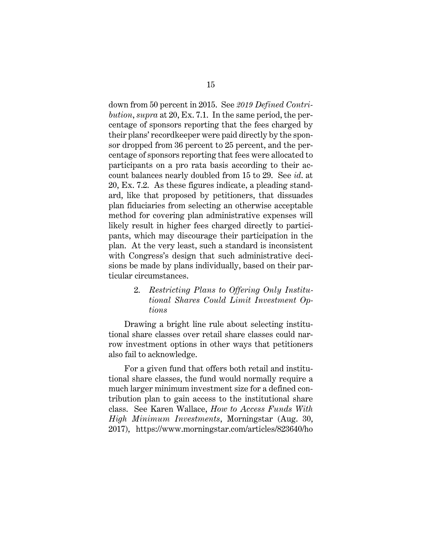down from 50 percent in 2015. See *2019 Defined Contribution*, *supra* at 20, Ex. 7.1. In the same period, the percentage of sponsors reporting that the fees charged by their plans' recordkeeper were paid directly by the sponsor dropped from 36 percent to 25 percent, and the percentage of sponsors reporting that fees were allocated to participants on a pro rata basis according to their account balances nearly doubled from 15 to 29. See *id*. at 20, Ex. 7.2. As these figures indicate, a pleading standard, like that proposed by petitioners, that dissuades plan fiduciaries from selecting an otherwise acceptable method for covering plan administrative expenses will likely result in higher fees charged directly to participants, which may discourage their participation in the plan. At the very least, such a standard is inconsistent with Congress's design that such administrative decisions be made by plans individually, based on their particular circumstances.

> 2. *Restricting Plans to Offering Only Institutional Shares Could Limit Investment Options*

Drawing a bright line rule about selecting institutional share classes over retail share classes could narrow investment options in other ways that petitioners also fail to acknowledge.

For a given fund that offers both retail and institutional share classes, the fund would normally require a much larger minimum investment size for a defined contribution plan to gain access to the institutional share class. See Karen Wallace, *How to Access Funds With High Minimum Investments*, Morningstar (Aug. 30, 2017), https://www.morningstar.com/articles/823640/ho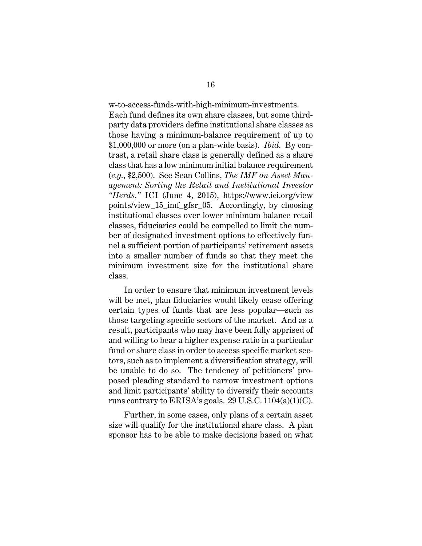w-to-access-funds-with-high-minimum-investments. Each fund defines its own share classes, but some thirdparty data providers define institutional share classes as those having a minimum-balance requirement of up to \$1,000,000 or more (on a plan-wide basis). *Ibid.* By contrast, a retail share class is generally defined as a share class that has a low minimum initial balance requirement (*e.g.*, \$2,500). See Sean Collins, *The IMF on Asset Management: Sorting the Retail and Institutional Investor "Herds,"* ICI (June 4, 2015), https://www.ici.org/view points/view\_15\_imf\_gfsr\_05. Accordingly, by choosing institutional classes over lower minimum balance retail classes, fiduciaries could be compelled to limit the number of designated investment options to effectively funnel a sufficient portion of participants' retirement assets into a smaller number of funds so that they meet the minimum investment size for the institutional share class.

In order to ensure that minimum investment levels will be met, plan fiduciaries would likely cease offering certain types of funds that are less popular—such as those targeting specific sectors of the market. And as a result, participants who may have been fully apprised of and willing to bear a higher expense ratio in a particular fund or share class in order to access specific market sectors, such as to implement a diversification strategy, will be unable to do so. The tendency of petitioners' proposed pleading standard to narrow investment options and limit participants' ability to diversify their accounts runs contrary to ERISA's goals. 29 U.S.C. 1104(a)(1)(C).

Further, in some cases, only plans of a certain asset size will qualify for the institutional share class. A plan sponsor has to be able to make decisions based on what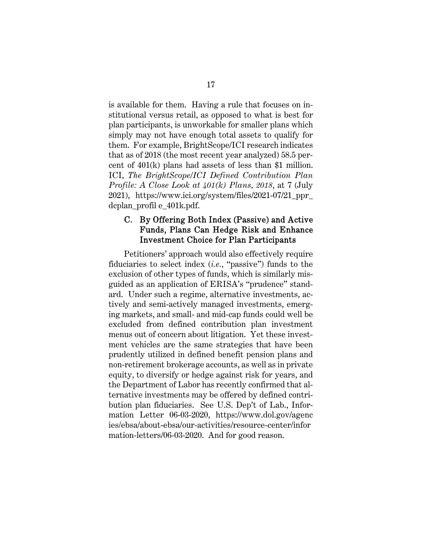is available for them. Having a rule that focuses on institutional versus retail, as opposed to what is best for plan participants, is unworkable for smaller plans which simply may not have enough total assets to qualify for them. For example, BrightScope/ICI research indicates that as of 2018 (the most recent year analyzed) 58.5 percent of 401(k) plans had assets of less than \$1 million. ICI, *The BrightScope/ICI Defined Contribution Plan Profile: A Close Look at 401(k) Plans, 2018*, at 7 (July 2021), https://www.ici.org/system/files/2021-07/21\_ppr\_ dcplan\_profil e\_401k.pdf.

### C. By Offering Both Index (Passive) and Active Funds, Plans Can Hedge Risk and Enhance Investment Choice for Plan Participants

Petitioners' approach would also effectively require fiduciaries to select index (*i.e.*, "passive") funds to the exclusion of other types of funds, which is similarly misguided as an application of ERISA's "prudence" standard. Under such a regime, alternative investments, actively and semi-actively managed investments, emerging markets, and small- and mid-cap funds could well be excluded from defined contribution plan investment menus out of concern about litigation. Yet these investment vehicles are the same strategies that have been prudently utilized in defined benefit pension plans and non-retirement brokerage accounts, as well as in private equity, to diversify or hedge against risk for years, and the Department of Labor has recently confirmed that alternative investments may be offered by defined contribution plan fiduciaries. See U.S. Dep't of Lab., Information Letter 06-03-2020, https://www.dol.gov/agenc ies/ebsa/about-ebsa/our-activities/resource-center/infor mation-letters/06-03-2020. And for good reason.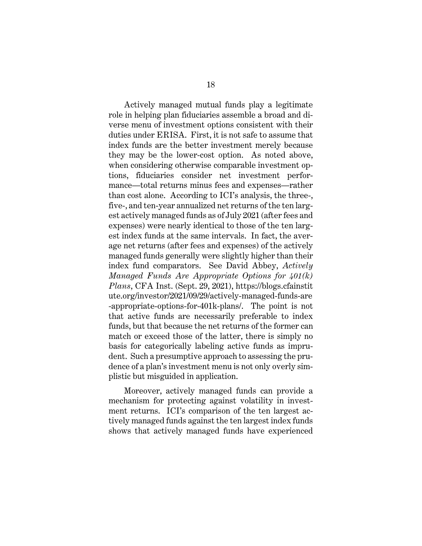Actively managed mutual funds play a legitimate role in helping plan fiduciaries assemble a broad and diverse menu of investment options consistent with their duties under ERISA. First, it is not safe to assume that index funds are the better investment merely because they may be the lower-cost option. As noted above, when considering otherwise comparable investment options, fiduciaries consider net investment performance—total returns minus fees and expenses—rather than cost alone. According to ICI's analysis, the three-, five-, and ten-year annualized net returns of the ten largest actively managed funds as of July 2021 (after fees and expenses) were nearly identical to those of the ten largest index funds at the same intervals. In fact, the average net returns (after fees and expenses) of the actively managed funds generally were slightly higher than their index fund comparators. See David Abbey, *Actively Managed Funds Are Appropriate Options for 401(k) Plans*, CFA Inst. (Sept. 29, 2021), https://blogs.cfainstit ute.org/investor/2021/09/29/actively-managed-funds-are -appropriate-options-for-401k-plans/. The point is not that active funds are necessarily preferable to index funds, but that because the net returns of the former can match or exceed those of the latter, there is simply no basis for categorically labeling active funds as imprudent. Such a presumptive approach to assessing the prudence of a plan's investment menu is not only overly simplistic but misguided in application.

Moreover, actively managed funds can provide a mechanism for protecting against volatility in investment returns. ICI's comparison of the ten largest actively managed funds against the ten largest index funds shows that actively managed funds have experienced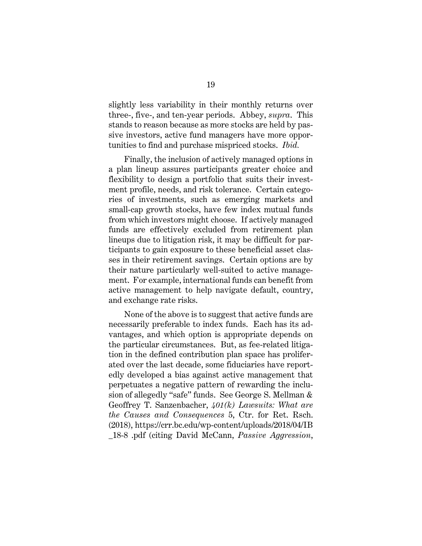slightly less variability in their monthly returns over three-, five-, and ten-year periods. Abbey, *supra*. This stands to reason because as more stocks are held by passive investors, active fund managers have more opportunities to find and purchase mispriced stocks. *Ibid.*

Finally, the inclusion of actively managed options in a plan lineup assures participants greater choice and flexibility to design a portfolio that suits their investment profile, needs, and risk tolerance. Certain categories of investments, such as emerging markets and small-cap growth stocks, have few index mutual funds from which investors might choose. If actively managed funds are effectively excluded from retirement plan lineups due to litigation risk, it may be difficult for participants to gain exposure to these beneficial asset classes in their retirement savings. Certain options are by their nature particularly well-suited to active management. For example, international funds can benefit from active management to help navigate default, country, and exchange rate risks.

None of the above is to suggest that active funds are necessarily preferable to index funds. Each has its advantages, and which option is appropriate depends on the particular circumstances. But, as fee-related litigation in the defined contribution plan space has proliferated over the last decade, some fiduciaries have reportedly developed a bias against active management that perpetuates a negative pattern of rewarding the inclusion of allegedly "safe" funds. See George S. Mellman & Geoffrey T. Sanzenbacher, *401(k) Lawsuits: What are the Causes and Consequences* 5, Ctr. for Ret. Rsch. (2018), https://crr.bc.edu/wp-content/uploads/2018/04/IB \_18-8 .pdf (citing David McCann, *Passive Aggression*,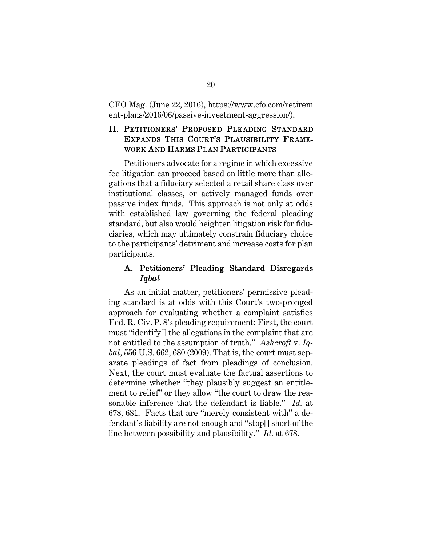CFO Mag. (June 22, 2016), https://www.cfo.com/retirem ent-plans/2016/06/passive-investment-aggression/).

# II. PETITIONERS' PROPOSED PLEADING STANDARD EXPANDS THIS COURT'S PLAUSIBILITY FRAME-WORK AND HARMS PLAN PARTICIPANTS

Petitioners advocate for a regime in which excessive fee litigation can proceed based on little more than allegations that a fiduciary selected a retail share class over institutional classes, or actively managed funds over passive index funds. This approach is not only at odds with established law governing the federal pleading standard, but also would heighten litigation risk for fiduciaries, which may ultimately constrain fiduciary choice to the participants' detriment and increase costs for plan participants.

#### A. Petitioners' Pleading Standard Disregards *Iqbal*

As an initial matter, petitioners' permissive pleading standard is at odds with this Court's two-pronged approach for evaluating whether a complaint satisfies Fed. R. Civ. P. 8's pleading requirement: First, the court must "identify[] the allegations in the complaint that are not entitled to the assumption of truth." *Ashcroft* v. *Iqbal*, 556 U.S. 662, 680 (2009). That is, the court must separate pleadings of fact from pleadings of conclusion. Next, the court must evaluate the factual assertions to determine whether "they plausibly suggest an entitlement to relief" or they allow "the court to draw the reasonable inference that the defendant is liable." *Id.* at 678, 681. Facts that are "merely consistent with" a defendant's liability are not enough and "stop[] short of the line between possibility and plausibility." *Id.* at 678.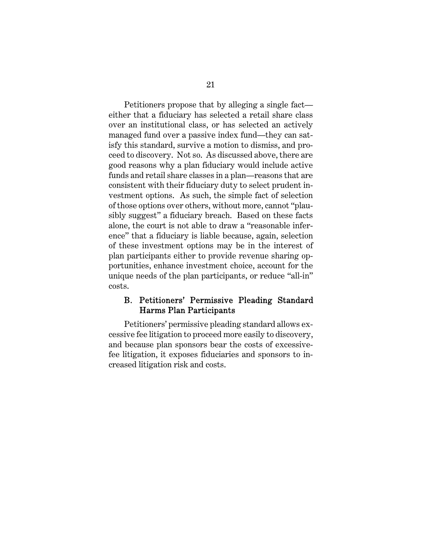Petitioners propose that by alleging a single fact either that a fiduciary has selected a retail share class over an institutional class, or has selected an actively managed fund over a passive index fund—they can satisfy this standard, survive a motion to dismiss, and proceed to discovery. Not so. As discussed above, there are good reasons why a plan fiduciary would include active funds and retail share classes in a plan—reasons that are consistent with their fiduciary duty to select prudent investment options. As such, the simple fact of selection of those options over others, without more, cannot "plausibly suggest" a fiduciary breach. Based on these facts alone, the court is not able to draw a "reasonable inference" that a fiduciary is liable because, again, selection of these investment options may be in the interest of plan participants either to provide revenue sharing opportunities, enhance investment choice, account for the unique needs of the plan participants, or reduce "all-in" costs.

### B. Petitioners' Permissive Pleading Standard Harms Plan Participants

Petitioners' permissive pleading standard allows excessive fee litigation to proceed more easily to discovery, and because plan sponsors bear the costs of excessivefee litigation, it exposes fiduciaries and sponsors to increased litigation risk and costs.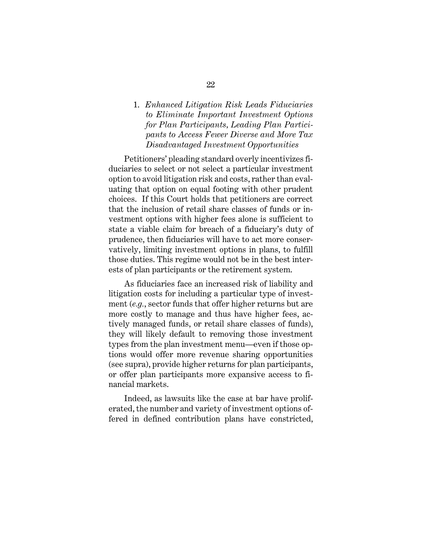### 1. *Enhanced Litigation Risk Leads Fiduciaries to Eliminate Important Investment Options for Plan Participants, Leading Plan Participants to Access Fewer Diverse and More Tax Disadvantaged Investment Opportunities*

Petitioners' pleading standard overly incentivizes fiduciaries to select or not select a particular investment option to avoid litigation risk and costs, rather than evaluating that option on equal footing with other prudent choices. If this Court holds that petitioners are correct that the inclusion of retail share classes of funds or investment options with higher fees alone is sufficient to state a viable claim for breach of a fiduciary's duty of prudence, then fiduciaries will have to act more conservatively, limiting investment options in plans, to fulfill those duties. This regime would not be in the best interests of plan participants or the retirement system.

As fiduciaries face an increased risk of liability and litigation costs for including a particular type of investment (*e.g.*, sector funds that offer higher returns but are more costly to manage and thus have higher fees, actively managed funds, or retail share classes of funds), they will likely default to removing those investment types from the plan investment menu—even if those options would offer more revenue sharing opportunities (see supra), provide higher returns for plan participants, or offer plan participants more expansive access to financial markets.

Indeed, as lawsuits like the case at bar have proliferated, the number and variety of investment options offered in defined contribution plans have constricted,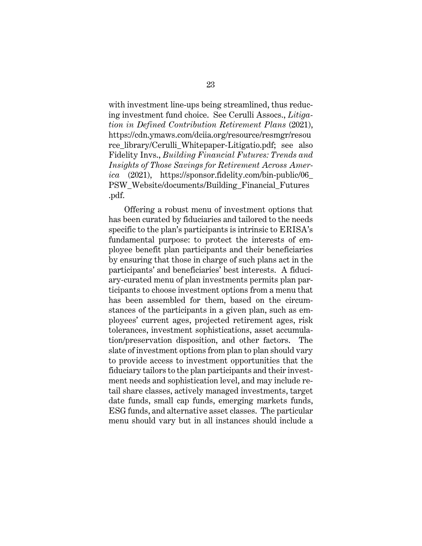with investment line-ups being streamlined, thus reducing investment fund choice. See Cerulli Assocs., *Litigation in Defined Contribution Retirement Plans* (2021), https://cdn.ymaws.com/dciia.org/resource/resmgr/resou rce library/Cerulli Whitepaper-Litigatio.pdf; see also Fidelity Invs., *Building Financial Futures: Trends and Insights of Those Savings for Retirement Across America* (2021), https://sponsor.fidelity.com/bin-public/06\_ PSW\_Website/documents/Building\_Financial\_Futures .pdf.

Offering a robust menu of investment options that has been curated by fiduciaries and tailored to the needs specific to the plan's participants is intrinsic to ERISA's fundamental purpose: to protect the interests of employee benefit plan participants and their beneficiaries by ensuring that those in charge of such plans act in the participants' and beneficiaries' best interests. A fiduciary-curated menu of plan investments permits plan participants to choose investment options from a menu that has been assembled for them, based on the circumstances of the participants in a given plan, such as employees' current ages, projected retirement ages, risk tolerances, investment sophistications, asset accumulation/preservation disposition, and other factors. The slate of investment options from plan to plan should vary to provide access to investment opportunities that the fiduciary tailors to the plan participants and their investment needs and sophistication level, and may include retail share classes, actively managed investments, target date funds, small cap funds, emerging markets funds, ESG funds, and alternative asset classes. The particular menu should vary but in all instances should include a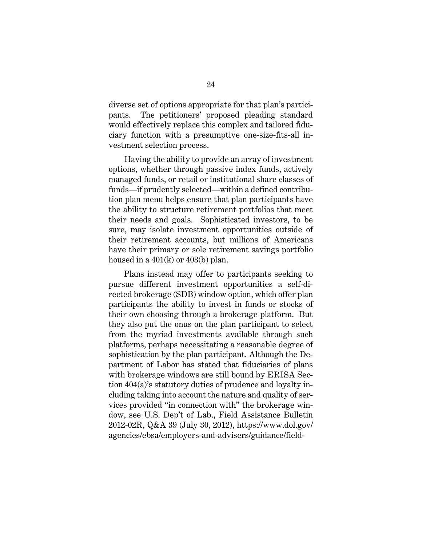diverse set of options appropriate for that plan's participants. The petitioners' proposed pleading standard would effectively replace this complex and tailored fiduciary function with a presumptive one-size-fits-all investment selection process.

Having the ability to provide an array of investment options, whether through passive index funds, actively managed funds, or retail or institutional share classes of funds—if prudently selected—within a defined contribution plan menu helps ensure that plan participants have the ability to structure retirement portfolios that meet their needs and goals. Sophisticated investors, to be sure, may isolate investment opportunities outside of their retirement accounts, but millions of Americans have their primary or sole retirement savings portfolio housed in a  $401(k)$  or  $403(b)$  plan.

Plans instead may offer to participants seeking to pursue different investment opportunities a self-directed brokerage (SDB) window option, which offer plan participants the ability to invest in funds or stocks of their own choosing through a brokerage platform. But they also put the onus on the plan participant to select from the myriad investments available through such platforms, perhaps necessitating a reasonable degree of sophistication by the plan participant. Although the Department of Labor has stated that fiduciaries of plans with brokerage windows are still bound by ERISA Section 404(a)'s statutory duties of prudence and loyalty including taking into account the nature and quality of services provided "in connection with" the brokerage window, see U.S. Dep't of Lab., Field Assistance Bulletin 2012-02R, Q&A 39 (July 30, 2012), https://www.dol.gov/ agencies/ebsa/employers-and-advisers/guidance/field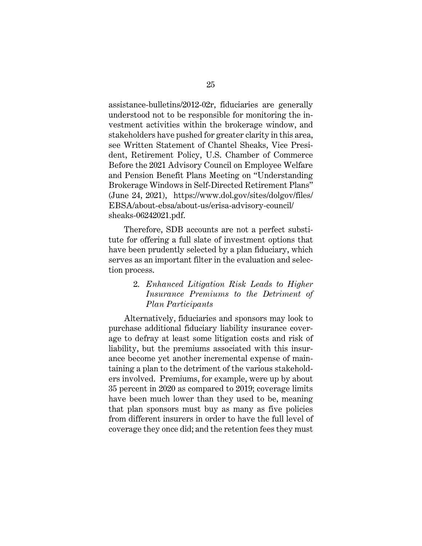assistance-bulletins/2012-02r, fiduciaries are generally understood not to be responsible for monitoring the investment activities within the brokerage window, and stakeholders have pushed for greater clarity in this area, see Written Statement of Chantel Sheaks, Vice President, Retirement Policy, U.S. Chamber of Commerce Before the 2021 Advisory Council on Employee Welfare and Pension Benefit Plans Meeting on "Understanding Brokerage Windows in Self-Directed Retirement Plans" (June 24, 2021), https://www.dol.gov/sites/dolgov/files/ EBSA/about-ebsa/about-us/erisa-advisory-council/ sheaks-06242021.pdf.

Therefore, SDB accounts are not a perfect substitute for offering a full slate of investment options that have been prudently selected by a plan fiduciary, which serves as an important filter in the evaluation and selection process.

#### 2. *Enhanced Litigation Risk Leads to Higher Insurance Premiums to the Detriment of Plan Participants*

Alternatively, fiduciaries and sponsors may look to purchase additional fiduciary liability insurance coverage to defray at least some litigation costs and risk of liability, but the premiums associated with this insurance become yet another incremental expense of maintaining a plan to the detriment of the various stakeholders involved. Premiums, for example, were up by about 35 percent in 2020 as compared to 2019; coverage limits have been much lower than they used to be, meaning that plan sponsors must buy as many as five policies from different insurers in order to have the full level of coverage they once did; and the retention fees they must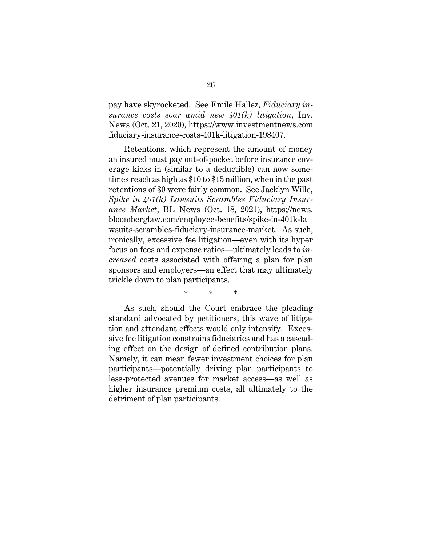pay have skyrocketed. See Emile Hallez, *Fiduciary insurance costs soar amid new 401(k) litigation*, Inv. News (Oct. 21, 2020), https://www.investmentnews.com fiduciary-insurance-costs-401k-litigation-198407.

Retentions, which represent the amount of money an insured must pay out-of-pocket before insurance coverage kicks in (similar to a deductible) can now sometimes reach as high as \$10 to \$15 million, when in the past retentions of \$0 were fairly common. See Jacklyn Wille, *Spike in 401(k) Lawsuits Scrambles Fiduciary Insurance Market*, BL News (Oct. 18, 2021), https://news. bloomberglaw.com/employee-benefits/spike-in-401k-la wsuits-scrambles-fiduciary-insurance-market. As such, ironically, excessive fee litigation—even with its hyper focus on fees and expense ratios—ultimately leads to *increased* costs associated with offering a plan for plan sponsors and employers—an effect that may ultimately trickle down to plan participants.

\* \* \*

As such, should the Court embrace the pleading standard advocated by petitioners, this wave of litigation and attendant effects would only intensify. Excessive fee litigation constrains fiduciaries and has a cascading effect on the design of defined contribution plans. Namely, it can mean fewer investment choices for plan participants—potentially driving plan participants to less-protected avenues for market access—as well as higher insurance premium costs, all ultimately to the detriment of plan participants.